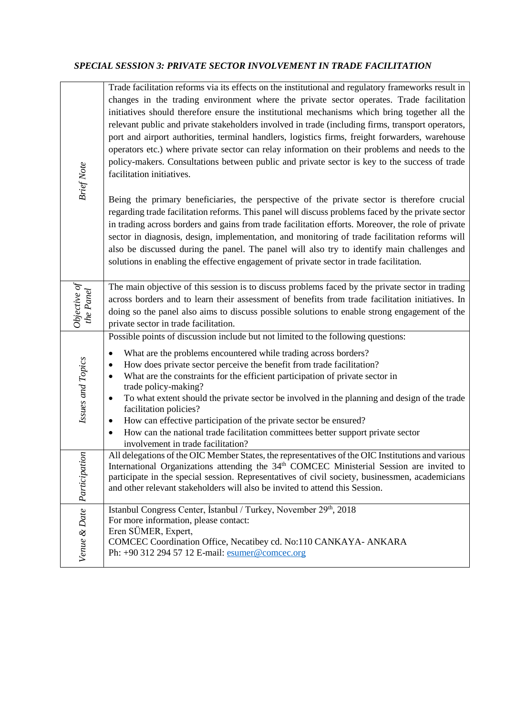## *SPECIAL SESSION 3: PRIVATE SECTOR INVOLVEMENT IN TRADE FACILITATION*

| <b>Brief Note</b>          | Trade facilitation reforms via its effects on the institutional and regulatory frameworks result in<br>changes in the trading environment where the private sector operates. Trade facilitation<br>initiatives should therefore ensure the institutional mechanisms which bring together all the<br>relevant public and private stakeholders involved in trade (including firms, transport operators,<br>port and airport authorities, terminal handlers, logistics firms, freight forwarders, warehouse<br>operators etc.) where private sector can relay information on their problems and needs to the<br>policy-makers. Consultations between public and private sector is key to the success of trade<br>facilitation initiatives.<br>Being the primary beneficiaries, the perspective of the private sector is therefore crucial<br>regarding trade facilitation reforms. This panel will discuss problems faced by the private sector<br>in trading across borders and gains from trade facilitation efforts. Moreover, the role of private<br>sector in diagnosis, design, implementation, and monitoring of trade facilitation reforms will<br>also be discussed during the panel. The panel will also try to identify main challenges and<br>solutions in enabling the effective engagement of private sector in trade facilitation. |  |  |  |  |
|----------------------------|------------------------------------------------------------------------------------------------------------------------------------------------------------------------------------------------------------------------------------------------------------------------------------------------------------------------------------------------------------------------------------------------------------------------------------------------------------------------------------------------------------------------------------------------------------------------------------------------------------------------------------------------------------------------------------------------------------------------------------------------------------------------------------------------------------------------------------------------------------------------------------------------------------------------------------------------------------------------------------------------------------------------------------------------------------------------------------------------------------------------------------------------------------------------------------------------------------------------------------------------------------------------------------------------------------------------------------------------|--|--|--|--|
| Objective of<br>the Panel  | The main objective of this session is to discuss problems faced by the private sector in trading<br>across borders and to learn their assessment of benefits from trade facilitation initiatives. In<br>doing so the panel also aims to discuss possible solutions to enable strong engagement of the<br>private sector in trade facilitation.                                                                                                                                                                                                                                                                                                                                                                                                                                                                                                                                                                                                                                                                                                                                                                                                                                                                                                                                                                                                 |  |  |  |  |
| Issues and Topics          | Possible points of discussion include but not limited to the following questions:<br>What are the problems encountered while trading across borders?<br>$\bullet$<br>How does private sector perceive the benefit from trade facilitation?<br>$\bullet$<br>What are the constraints for the efficient participation of private sector in<br>$\bullet$<br>trade policy-making?<br>To what extent should the private sector be involved in the planning and design of the trade<br>$\bullet$<br>facilitation policies?<br>How can effective participation of the private sector be ensured?<br>٠<br>How can the national trade facilitation committees better support private sector<br>$\bullet$<br>involvement in trade facilitation?                                                                                                                                                                                                                                                                                                                                                                                                                                                                                                                                                                                                          |  |  |  |  |
| $\tilde{c}$<br>Participati | All delegations of the OIC Member States, the representatives of the OIC Institutions and various<br>International Organizations attending the 34 <sup>th</sup> COMCEC Ministerial Session are invited to<br>participate in the special session. Representatives of civil society, businessmen, academicians<br>and other relevant stakeholders will also be invited to attend this Session.                                                                                                                                                                                                                                                                                                                                                                                                                                                                                                                                                                                                                                                                                                                                                                                                                                                                                                                                                   |  |  |  |  |
| Venue & Date               | Istanbul Congress Center, İstanbul / Turkey, November 29th, 2018<br>For more information, please contact:<br>Eren SÜMER, Expert,<br>COMCEC Coordination Office, Necatibey cd. No:110 CANKAYA- ANKARA<br>Ph: +90 312 294 57 12 E-mail: esumer@comcec.org                                                                                                                                                                                                                                                                                                                                                                                                                                                                                                                                                                                                                                                                                                                                                                                                                                                                                                                                                                                                                                                                                        |  |  |  |  |